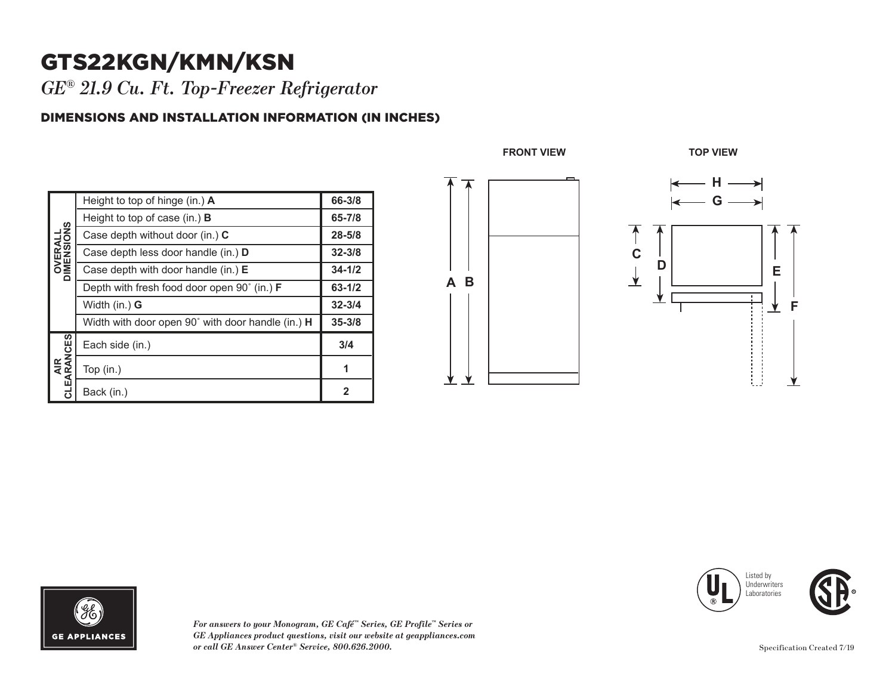## GTS22KGN/KMN/KSN

*GE® 21.9 Cu. Ft. Top-Freezer Refrigerator* 

## DIMENSIONS AND INSTALLATION INFORMATION (IN INCHES)

| <b>OVERALL</b><br>DIMENSIONS | Height to top of hinge (in.) $\bm{A}$                       | 66-3/8       |
|------------------------------|-------------------------------------------------------------|--------------|
|                              | Height to top of case (in.) $\bf{B}$                        | 65-7/8       |
|                              | Case depth without door (in.) C                             | $28 - 5/8$   |
|                              | Case depth less door handle (in.) D                         | $32 - 3/8$   |
|                              | Case depth with door handle (in.) E                         | $34 - 1/2$   |
|                              | Depth with fresh food door open $90^{\circ}$ (in.) <b>F</b> | 63-1/2       |
|                              | Width $(in.)$ G                                             | $32 - 3/4$   |
|                              | Width with door open 90° with door handle (in.) H           | $35 - 3/8$   |
| AIR<br>CLEARANCES            | Each side (in.)                                             | 3/4          |
|                              | Top (in.)                                                   | 1            |
|                              | Back (in.)                                                  | $\mathbf{2}$ |







*For answers to your Monogram, GE Café™ Series, GE Profile™ Series or GE Appliances product questions, visit our website at geappliances.com or call GE Answer Center® Service, 800.626.2000.*

Specification Created 7/19